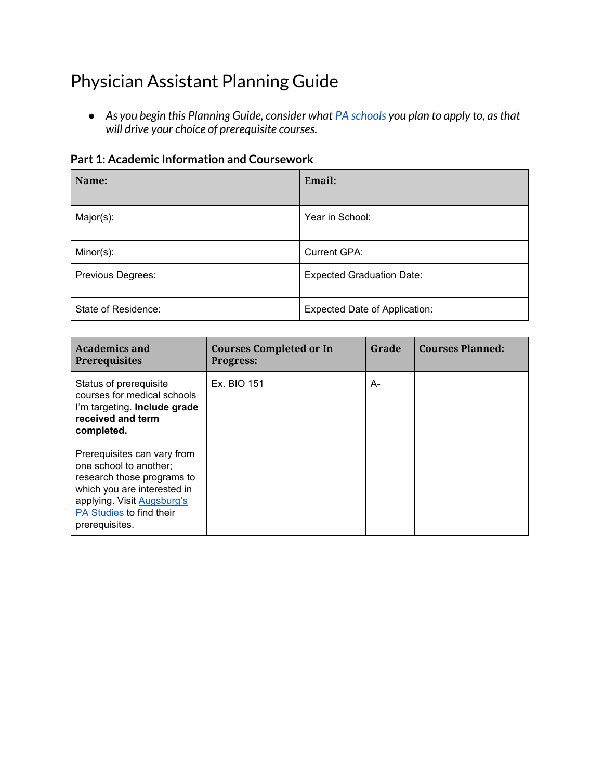# Physician Assistant Planning Guide

*● As you begin this Planning Guide, consider what PA [schools](http://directory.paeaonline.org/) you plan to apply to, asthat will drive your choice of prerequisite courses.*

| Name:               | Email:                               |
|---------------------|--------------------------------------|
| Major(s):           | Year in School:                      |
| Minor(s):           | Current GPA:                         |
| Previous Degrees:   | <b>Expected Graduation Date:</b>     |
| State of Residence: | <b>Expected Date of Application:</b> |

| <b>Academics and</b><br><b>Prerequisites</b>                                                                                                                                                   | <b>Courses Completed or In</b><br><b>Progress:</b> | Grade | <b>Courses Planned:</b> |
|------------------------------------------------------------------------------------------------------------------------------------------------------------------------------------------------|----------------------------------------------------|-------|-------------------------|
| Status of prerequisite<br>courses for medical schools<br>I'm targeting. Include grade<br>received and term<br>completed.                                                                       | Ex. BIO 151                                        | A-    |                         |
| Prerequisites can vary from<br>one school to another;<br>research those programs to<br>which you are interested in<br>applying. Visit Augsburg's<br>PA Studies to find their<br>prerequisites. |                                                    |       |                         |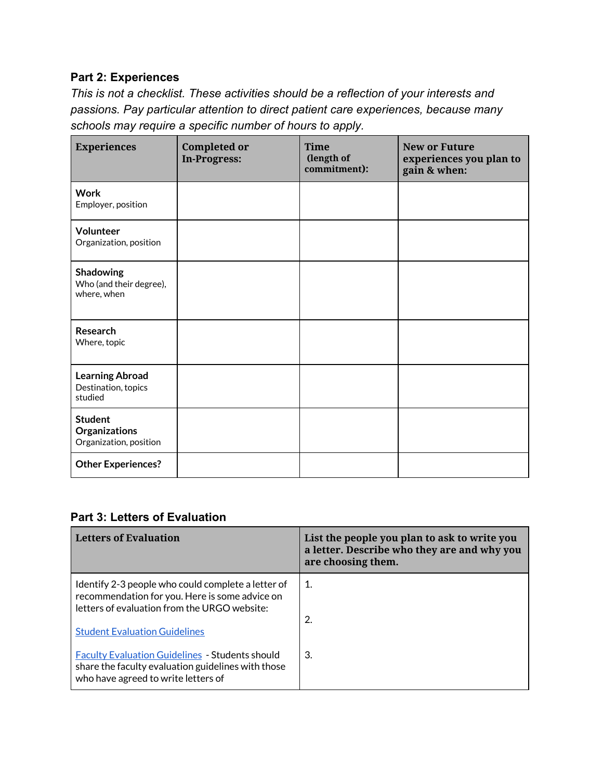## **Part 2: Experiences**

*This is not a checklist. These activities should be a reflection of your interests and passions. Pay particular attention to direct patient care experiences, because many schools may require a specific number of hours to apply.*

| <b>Experiences</b>                                        | <b>Completed or</b><br><b>In-Progress:</b> | <b>Time</b><br>(length of<br>commitment): | <b>New or Future</b><br>experiences you plan to<br>gain & when: |
|-----------------------------------------------------------|--------------------------------------------|-------------------------------------------|-----------------------------------------------------------------|
| <b>Work</b><br>Employer, position                         |                                            |                                           |                                                                 |
| Volunteer<br>Organization, position                       |                                            |                                           |                                                                 |
| Shadowing<br>Who (and their degree),<br>where, when       |                                            |                                           |                                                                 |
| Research<br>Where, topic                                  |                                            |                                           |                                                                 |
| <b>Learning Abroad</b><br>Destination, topics<br>studied  |                                            |                                           |                                                                 |
| <b>Student</b><br>Organizations<br>Organization, position |                                            |                                           |                                                                 |
| <b>Other Experiences?</b>                                 |                                            |                                           |                                                                 |

## **Part 3: Letters of Evaluation**

| <b>Letters of Evaluation</b>                                                                                                                                                                 | List the people you plan to ask to write you<br>a letter. Describe who they are and why you<br>are choosing them. |
|----------------------------------------------------------------------------------------------------------------------------------------------------------------------------------------------|-------------------------------------------------------------------------------------------------------------------|
| Identify 2-3 people who could complete a letter of<br>recommendation for you. Here is some advice on<br>letters of evaluation from the URGO website:<br><b>Student Evaluation Guidelines</b> | -1.<br>2.                                                                                                         |
| <b>Faculty Evaluation Guidelines - Students should</b><br>share the faculty evaluation guidelines with those<br>who have agreed to write letters of                                          | 3.                                                                                                                |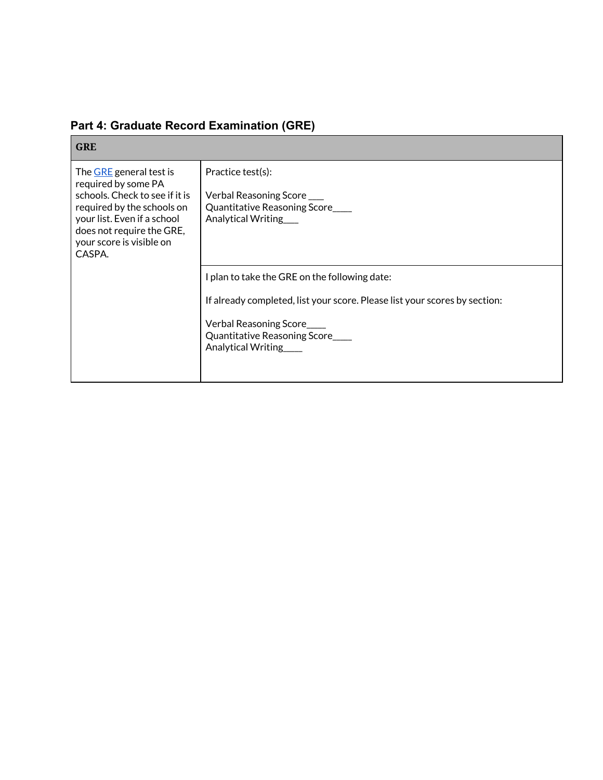| <b>GRE</b>                                                                                                                                                                                                       |                                                                                                                                                                                                                |
|------------------------------------------------------------------------------------------------------------------------------------------------------------------------------------------------------------------|----------------------------------------------------------------------------------------------------------------------------------------------------------------------------------------------------------------|
| The GRE general test is<br>required by some PA<br>schools. Check to see if it is<br>required by the schools on<br>your list. Even if a school<br>does not require the GRE,<br>your score is visible on<br>CASPA. | Practice test(s):<br>Verbal Reasoning Score<br>Quantitative Reasoning Score<br>Analytical Writing                                                                                                              |
|                                                                                                                                                                                                                  | I plan to take the GRE on the following date:<br>If already completed, list your score. Please list your scores by section:<br>Verbal Reasoning Score<br>Quantitative Reasoning Score___<br>Analytical Writing |

## **Part 4: Graduate Record Examination (GRE)**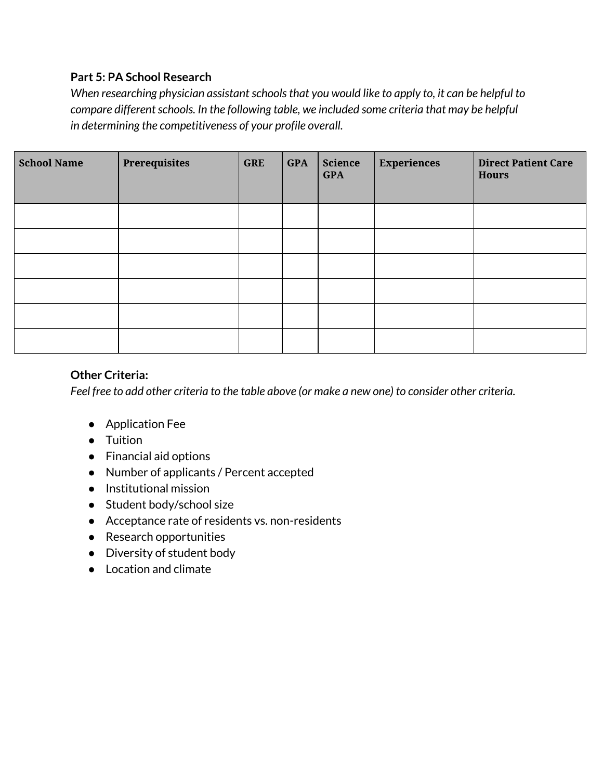#### **Part 5: PA School Research**

*When researching physician assistantschoolsthat you would like to apply to, it can be helpful to compare different schools. In the following table, we included some criteria that may be helpful in determining the competitiveness of your profile overall.*

| <b>School Name</b> | Prerequisites | <b>GRE</b> | <b>GPA</b> | <b>Science</b><br><b>GPA</b> | <b>Experiences</b> | <b>Direct Patient Care</b><br><b>Hours</b> |
|--------------------|---------------|------------|------------|------------------------------|--------------------|--------------------------------------------|
|                    |               |            |            |                              |                    |                                            |
|                    |               |            |            |                              |                    |                                            |
|                    |               |            |            |                              |                    |                                            |
|                    |               |            |            |                              |                    |                                            |
|                    |               |            |            |                              |                    |                                            |
|                    |               |            |            |                              |                    |                                            |

## **Other Criteria:**

Feel free to add other criteria to the table above (or make a new one) to consider other criteria.

- Application Fee
- Tuition
- Financial aid options
- Number of applicants / Percent accepted
- Institutional mission
- Student body/school size
- Acceptance rate of residents vs. non-residents
- Research opportunities
- Diversity of student body
- Location and climate